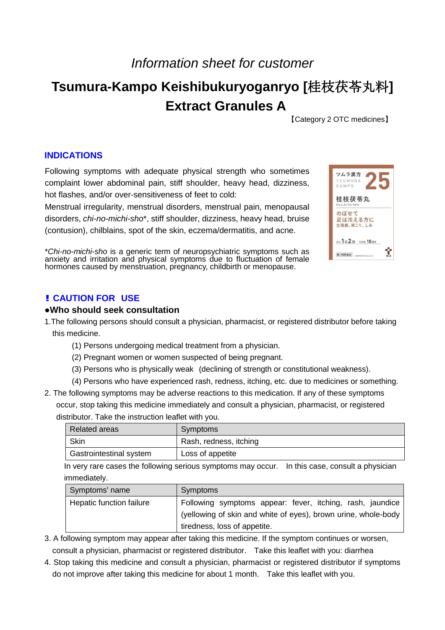# *Information sheet for customer*

# **Tsumura-Kampo Keishibukuryoganryo [**桂枝茯苓丸料**] Extract Granules A**

【Category 2 OTC medicines】

## **INDICATIONS**

Following symptoms with adequate physical strength who sometimes complaint lower abdominal pain, stiff shoulder, heavy head, dizziness, hot flashes, and/or over-sensitiveness of feet to cold:

Menstrual irregularity, menstrual disorders, menstrual pain, menopausal disorders, *chi-no-michi-sho*\*, stiff shoulder, dizziness, heavy head, bruise (contusion), chilblains, spot of the skin, eczema/dermatitis, and acne.

\**Chi-no-michi-sho* is a generic term of neuropsychiatric symptoms such as anxiety and irritation and physical symptoms due to fluctuation of female hormones caused by menstruation, pregnancy, childbirth or menopause.

| ツムラ漢方<br>TSUMURA<br>KAMPO     |
|-------------------------------|
| 桂枝茯苓丸<br>けいしぶくりょうがん           |
| のぼせて<br>足は冷える方に<br>牛理痛、肩こり、しみ |
| 用法1日2回 内容量 10日分               |
| 第2類医薬品<br>読体力がある方に            |

# **! CAUTION FOR USE**

#### **●Who should seek consultation**

- 1.The following persons should consult a physician, pharmacist, or registered distributor before taking this medicine.
	- (1) Persons undergoing medical treatment from a physician.
	- (2) Pregnant women or women suspected of being pregnant.
	- (3) Persons who is physically weak (declining of strength or constitutional weakness).
	- (4) Persons who have experienced rash, redness, itching, etc. due to medicines or something.
- 2. The following symptoms may be adverse reactions to this medication. If any of these symptoms occur, stop taking this medicine immediately and consult a physician, pharmacist, or registered distributor. Take the instruction leaflet with you.

| <b>Related areas</b>    | Symptoms               |
|-------------------------|------------------------|
| <b>Skin</b>             | Rash, redness, itching |
| Gastrointestinal system | Loss of appetite       |

In very rare cases the following serious symptoms may occur. In this case, consult a physician immediately.

| Symptoms' name           | <b>Symptoms</b>                                                |
|--------------------------|----------------------------------------------------------------|
| Hepatic function failure | Following symptoms appear: fever, itching, rash, jaundice      |
|                          | (yellowing of skin and white of eyes), brown urine, whole-body |
|                          | tiredness, loss of appetite.                                   |

- 3. A following symptom may appear after taking this medicine. If the symptom continues or worsen, consult a physician, pharmacist or registered distributor. Take this leaflet with you: diarrhea
- 4. Stop taking this medicine and consult a physician, pharmacist or registered distributor if symptoms do not improve after taking this medicine for about 1 month. Take this leaflet with you.